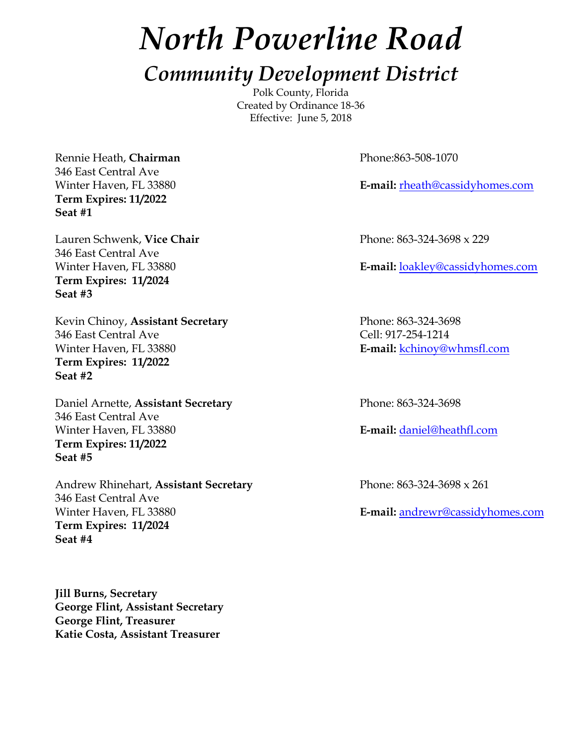# *North Powerline Road*

## *Community Development District*

Polk County, Florida Created by Ordinance 18-36 Effective: June 5, 2018

Rennie Heath, **Chairman** Phone:863-508-1070 346 East Central Ave **Term Expires: 11/2022 Seat #1**

Lauren Schwenk, **Vice Chair** Phone: 863-324-3698 x 229 346 East Central Ave **Term Expires: 11/2024 Seat #3**

Kevin Chinoy, Assistant Secretary **Phone: 863-324-3698** 346 East Central Ave Cell: 917-254-1214 Winter Haven, FL 33880 **E-mail:** kchinoy@whmsfl.com **Term Expires: 11/2022 Seat #2**

Daniel Arnette, **Assistant Secretary** Phone: 863-324-3698 346 East Central Ave Winter Haven, FL 33880 **E-mail:** daniel@heathfl.com **Term Expires: 11/2022 Seat #5**

Andrew Rhinehart, **Assistant Secretary** Phone: 863-324-3698 x 261 346 East Central Ave Winter Haven, FL 33880 **E-mail:** andrewr@cassidyhomes.com **Term Expires: 11/2024 Seat #4**

**Jill Burns, Secretary George Flint, Assistant Secretary George Flint, Treasurer Katie Costa, Assistant Treasurer**

Winter Haven, FL 33880 **E-mail:** rheath@cassidyhomes.com

Winter Haven, FL 33880 **E-mail:** loakley@cassidyhomes.com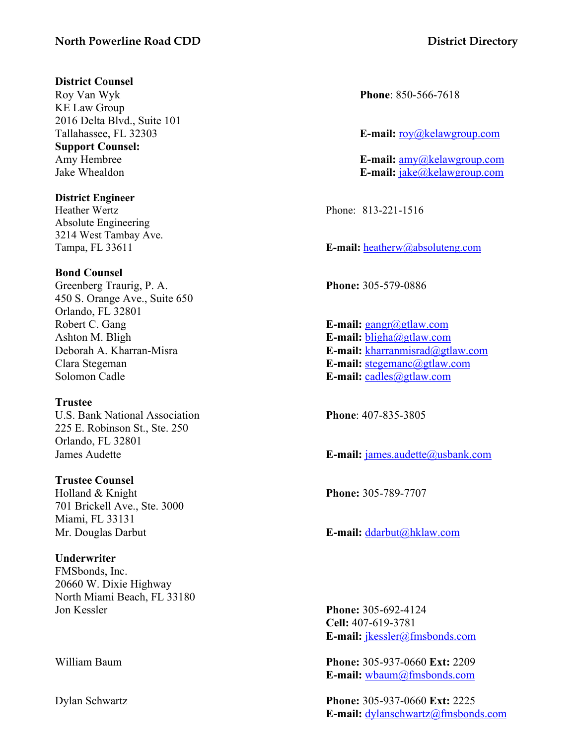#### **North Powerline Road CDD District Directory**

#### **District Counsel**

Roy Van Wyk **Phone**: 850-566-7618 KE Law Group 2016 Delta Blvd., Suite 101 **Support Counsel:**

**District Engineer**

Absolute Engineering 3214 West Tambay Ave.

#### **Bond Counsel**

Greenberg Traurig, P. A. **Phone:** 305-579-0886 450 S. Orange Ave., Suite 650 Orlando, FL 32801 Robert C. Gang **E-mail:** gangr@gtlaw.com Ashton M. Bligh **E-mail:** bligha@gtlaw.com Solomon Cadle **E-mail:** cadles@gtlaw.com

#### **Trustee**

U.S. Bank National Association **Phone**: 407-835-3805 225 E. Robinson St., Ste. 250 Orlando, FL 32801

#### **Trustee Counsel**

Holland & Knight **Phone:** 305-789-7707 701 Brickell Ave., Ste. 3000 Miami, FL 33131

#### **Underwriter**

FMSbonds, Inc. 20660 W. Dixie Highway North Miami Beach, FL 33180 Jon Kessler **Phone:** 305-692-4124

Tallahassee, FL 32303 **E-mail:** roy@kelawgroup.com

Amy Hembree **E-mail:** amy@kelawgroup.com Jake Whealdon **E-mail:** jake@kelawgroup.com

Heather Wertz Phone: 813-221-1516

Tampa, FL 33611 **E-mail:** heatherw@absoluteng.com

Deborah A. Kharran-Misra **E-mail:** kharranmisrad@gtlaw.com Clara Stegeman **E-mail:** stegemanc@gtlaw.com

James Audette **E-mail:** james.audette@usbank.com

Mr. Douglas Darbut **E-mail:** ddarbut@hklaw.com

**Cell:** 407-619-3781 **E-mail:** jkessler@fmsbonds.com

William Baum **Phone:** 305-937-0660 **Ext:** 2209 **E-mail:** wbaum@fmsbonds.com

Dylan Schwartz **Phone:** 305-937-0660 **Ext:** 2225 **E-mail:** dylanschwartz@fmsbonds.com